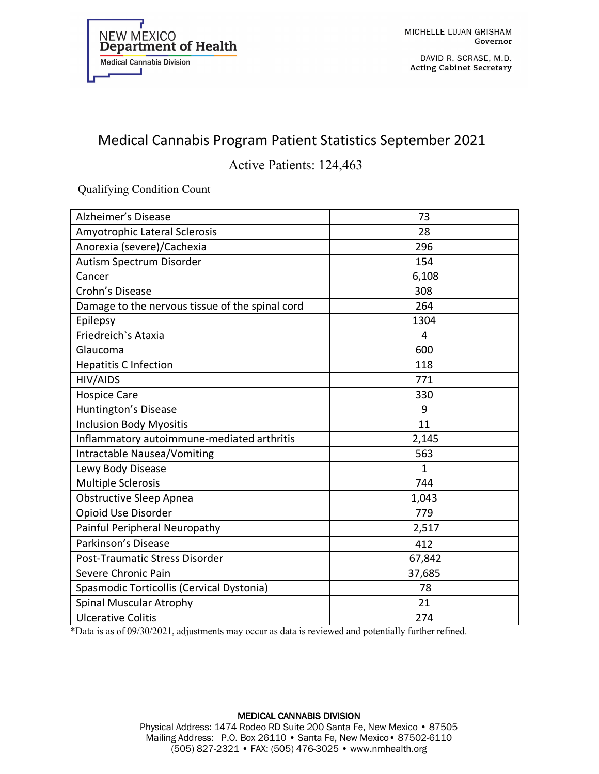

DAVID R. SCRASE, M.D. **Acting Cabinet Secretary** 

## Medical Cannabis Program Patient Statistics September 2021

Active Patients: 124,463

Qualifying Condition Count

| Alzheimer's Disease                             | 73     |
|-------------------------------------------------|--------|
| Amyotrophic Lateral Sclerosis                   | 28     |
| Anorexia (severe)/Cachexia                      | 296    |
| Autism Spectrum Disorder                        | 154    |
| Cancer                                          | 6,108  |
| Crohn's Disease                                 | 308    |
| Damage to the nervous tissue of the spinal cord | 264    |
| Epilepsy                                        | 1304   |
| Friedreich's Ataxia                             | 4      |
| Glaucoma                                        | 600    |
| <b>Hepatitis C Infection</b>                    | 118    |
| HIV/AIDS                                        | 771    |
| <b>Hospice Care</b>                             | 330    |
| Huntington's Disease                            | 9      |
| <b>Inclusion Body Myositis</b>                  | 11     |
| Inflammatory autoimmune-mediated arthritis      | 2,145  |
| <b>Intractable Nausea/Vomiting</b>              | 563    |
| Lewy Body Disease                               | 1      |
| <b>Multiple Sclerosis</b>                       | 744    |
| <b>Obstructive Sleep Apnea</b>                  | 1,043  |
| Opioid Use Disorder                             | 779    |
| Painful Peripheral Neuropathy                   | 2,517  |
| Parkinson's Disease                             | 412    |
| Post-Traumatic Stress Disorder                  | 67,842 |
| Severe Chronic Pain                             | 37,685 |
| Spasmodic Torticollis (Cervical Dystonia)       | 78     |
| Spinal Muscular Atrophy                         | 21     |
| <b>Ulcerative Colitis</b>                       | 274    |

\*Data is as of 09/30/2021, adjustments may occur as data is reviewed and potentially further refined.

## MEDICAL CANNABIS DIVISION Physical Address: 1474 Rodeo RD Suite 200 Santa Fe, New Mexico • 87505 Mailing Address: P.O. Box 26110 • Santa Fe, New Mexico• 87502-6110 (505) 827-2321 • FAX: (505) 476-3025 • www.nmhealth.org